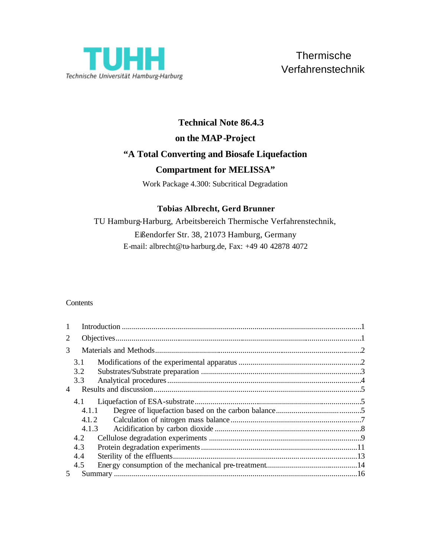

# **Technical Note 86.4.3 on the MAP-Project "A Total Converting and Biosafe Liquefaction**

# **Compartment for MELISSA"**

Work Package 4.300: Subcritical Degradation

# **Tobias Albrecht, Gerd Brunner**

TU Hamburg-Harburg, Arbeitsbereich Thermische Verfahrenstechnik, Eißendorfer Str. 38, 21073 Hamburg, Germany E-mail: albrecht@tu-harburg.de, Fax: +49 40 42878 4072

# **Contents**

| 1     |       |  |  |  |
|-------|-------|--|--|--|
| 2     |       |  |  |  |
| 3     |       |  |  |  |
|       | 3.1   |  |  |  |
|       | 3.2   |  |  |  |
|       | 3.3   |  |  |  |
| 4     |       |  |  |  |
|       | 4.1   |  |  |  |
|       | 4.1.1 |  |  |  |
|       | 4.1.2 |  |  |  |
| 4.1.3 |       |  |  |  |
|       | 4.2   |  |  |  |
|       | 4.3   |  |  |  |
|       | 4.4   |  |  |  |
|       | 4.5   |  |  |  |
| 5     |       |  |  |  |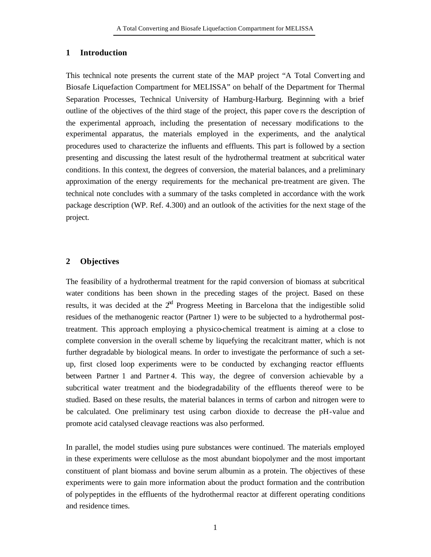#### **1 Introduction**

This technical note presents the current state of the MAP project "A Total Converting and Biosafe Liquefaction Compartment for MELISSA" on behalf of the Department for Thermal Separation Processes, Technical University of Hamburg-Harburg. Beginning with a brief outline of the objectives of the third stage of the project, this paper cove rs the description of the experimental approach, including the presentation of necessary modifications to the experimental apparatus, the materials employed in the experiments, and the analytical procedures used to characterize the influents and effluents. This part is followed by a section presenting and discussing the latest result of the hydrothermal treatment at subcritical water conditions. In this context, the degrees of conversion, the material balances, and a preliminary approximation of the energy requirements for the mechanical pre-treatment are given. The technical note concludes with a summary of the tasks completed in accordance with the work package description (WP. Ref. 4.300) and an outlook of the activities for the next stage of the project.

#### **2 Objectives**

The feasibility of a hydrothermal treatment for the rapid conversion of biomass at subcritical water conditions has been shown in the preceding stages of the project. Based on these results, it was decided at the  $2<sup>nd</sup>$  Progress Meeting in Barcelona that the indigestible solid residues of the methanogenic reactor (Partner 1) were to be subjected to a hydrothermal posttreatment. This approach employing a physico-chemical treatment is aiming at a close to complete conversion in the overall scheme by liquefying the recalcitrant matter, which is not further degradable by biological means. In order to investigate the performance of such a setup, first closed loop experiments were to be conducted by exchanging reactor effluents between Partner 1 and Partner 4. This way, the degree of conversion achievable by a subcritical water treatment and the biodegradability of the effluents thereof were to be studied. Based on these results, the material balances in terms of carbon and nitrogen were to be calculated. One preliminary test using carbon dioxide to decrease the pH-value and promote acid catalysed cleavage reactions was also performed.

In parallel, the model studies using pure substances were continued. The materials employed in these experiments were cellulose as the most abundant biopolymer and the most important constituent of plant biomass and bovine serum albumin as a protein. The objectives of these experiments were to gain more information about the product formation and the contribution of polypeptides in the effluents of the hydrothermal reactor at different operating conditions and residence times.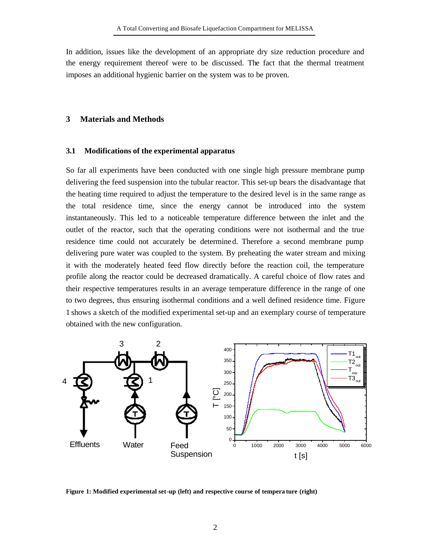In addition, issues like the development of an appropriate dry size reduction procedure and the energy requirement thereof were to be discussed. The fact that the thermal treatment imposes an additional hygienic barrier on the system was to be proven.

#### **3 Materials and Methods**

#### **3.1 Modifications of the experimental apparatus**

So far all experiments have been conducted with one single high pressure membrane pump delivering the feed suspension into the tubular reactor. This set-up bears the disadvantage that the heating time required to adjust the temperature to the desired level is in the same range as the total residence time, since the energy cannot be introduced into the system instantaneously. This led to a noticeable temperature difference between the inlet and the outlet of the reactor, such that the operating conditions were not isothermal and the true residence time could not accurately be determined. Therefore a second membrane pump delivering pure water was coupled to the system. By preheating the water stream and mixing it with the moderately heated feed flow directly before the reaction coil, the temperature profile along the reactor could be decreased dramatically. A careful choice of flow rates and their respective temperatures results in an average temperature difference in the range of one to two degrees, thus ensuring isothermal conditions and a well defined residence time. Figure 1 shows a sketch of the modified experimental set-up and an exemplary course of temperature obtained with the new configuration.



**Figure 1: Modified experimental set-up (left) and respective course of tempera ture (right)**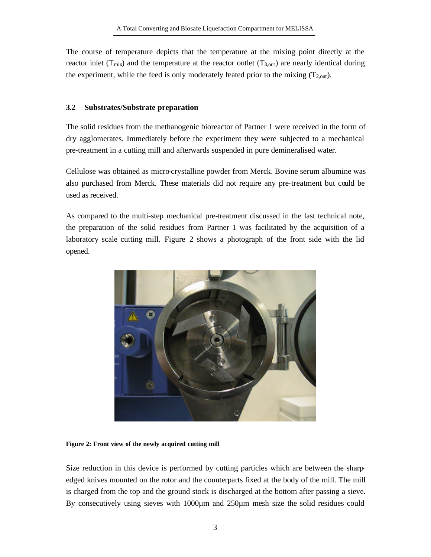The course of temperature depicts that the temperature at the mixing point directly at the reactor inlet ( $T_{mix}$ ) and the temperature at the reactor outlet ( $T_{3,out}$ ) are nearly identical during the experiment, while the feed is only moderately heated prior to the mixing  $(T_{2, \text{out}})$ .

### **3.2 Substrates/Substrate preparation**

The solid residues from the methanogenic bioreactor of Partner 1 were received in the form of dry agglomerates. Immediately before the experiment they were subjected to a mechanical pre-treatment in a cutting mill and afterwards suspended in pure demineralised water.

Cellulose was obtained as micro-crystalline powder from Merck. Bovine serum albumine was also purchased from Merck. These materials did not require any pre-treatment but could be used as received.

As compared to the multi-step mechanical pre-treatment discussed in the last technical note, the preparation of the solid residues from Partner 1 was facilitated by the acquisition of a laboratory scale cutting mill. Figure 2 shows a photograph of the front side with the lid opened.



**Figure 2: Front view of the newly acquired cutting mill**

Size reduction in this device is performed by cutting particles which are between the sharpedged knives mounted on the rotor and the counterparts fixed at the body of the mill. The mill is charged from the top and the ground stock is discharged at the bottom after passing a sieve. By consecutively using sieves with 1000 $\mu$ m and 250 $\mu$ m mesh size the solid residues could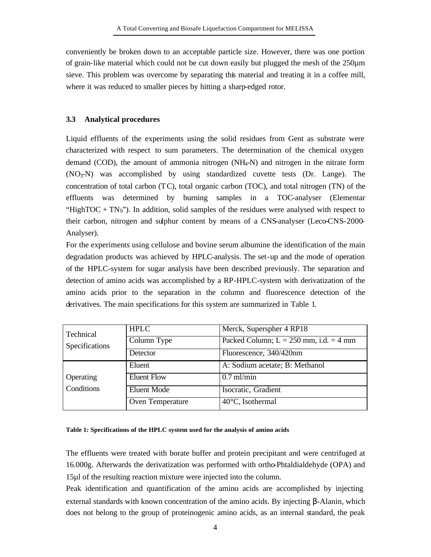conveniently be broken down to an acceptable particle size. However, there was one portion of grain-like material which could not be cut down easily but plugged the mesh of the 250µm sieve. This problem was overcome by separating this material and treating it in a coffee mill, where it was reduced to smaller pieces by hitting a sharp-edged rotor.

# **3.3 Analytical procedures**

Liquid effluents of the experiments using the solid residues from Gent as substrate were characterized with respect to sum parameters. The determination of the chemical oxygen demand (COD), the amount of ammonia nitrogen (NH4-N) and nitrogen in the nitrate form  $(NO<sub>3</sub>-N)$  was accomplished by using standardized cuvette tests  $(Dr.$  Lange). The concentration of total carbon (TC), total organic carbon (TOC), and total nitrogen (TN) of the effluents was determined by burning samples in a TOC-analyser (Elementar "HighTOC +  $TN_b$ "). In addition, solid samples of the residues were analysed with respect to their carbon, nitrogen and sulphur content by means of a CNS-analyser (Leco-CNS-2000- Analyser).

For the experiments using cellulose and bovine serum albumine the identification of the main degradation products was achieved by HPLC-analysis. The set-up and the mode of operation of the HPLC-system for sugar analysis have been described previously. The separation and detection of amino acids was accomplished by a RP-HPLC-system with derivatization of the amino acids prior to the separation in the column and fluorescence detection of the derivatives. The main specifications for this system are summarized in Table 1.

| Technical      | <b>HPLC</b>        | Merck, Superspher 4 RP18                 |  |
|----------------|--------------------|------------------------------------------|--|
| Specifications | Column Type        | Packed Column; $L = 250$ mm, i.d. = 4 mm |  |
|                | Detector           | Fluorescence, 340/420nm                  |  |
|                | Eluent             | A: Sodium acetate; B: Methanol           |  |
| Operating      | <b>Eluent Flow</b> | $0.7$ ml/min                             |  |
| Conditions     | Eluent Mode        | Isocratic, Gradient                      |  |
|                | Oven Temperature   | 40°C, Isothermal                         |  |

# **Table 1: Specifications of the HPLC system used for the analysis of amino acids**

The effluents were treated with borate buffer and protein precipitant and were centrifuged at 16.000g. Afterwards the derivatization was performed with ortho-Phtaldialdehyde (OPA) and 15µl of the resulting reaction mixture were injected into the column.

Peak identification and quantification of the amino acids are accomplished by injecting external standards with known concentration of the amino acids. By injecting β-Alanin, which does not belong to the group of proteinogenic amino acids, as an internal standard, the peak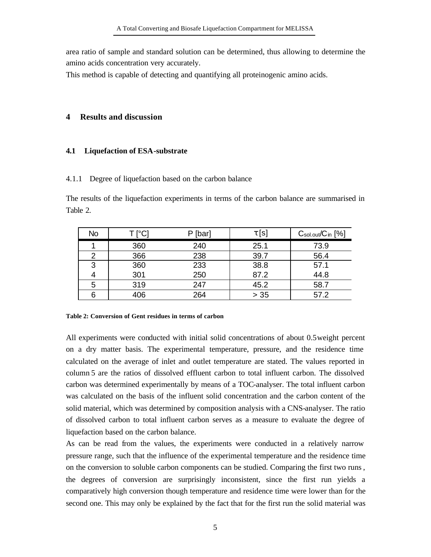area ratio of sample and standard solution can be determined, thus allowing to determine the amino acids concentration very accurately.

This method is capable of detecting and quantifying all proteinogenic amino acids.

# **4 Results and discussion**

#### **4.1 Liquefaction of ESA-substrate**

#### 4.1.1 Degree of liquefaction based on the carbon balance

The results of the liquefaction experiments in terms of the carbon balance are summarised in Table 2.

| No | T [°C] | P [bar] | $\tau$ [s] | $C_{sol.out}/C_{in}$ [%] |
|----|--------|---------|------------|--------------------------|
|    | 360    | 240     | 25.1       | 73.9                     |
|    | 366    | 238     | 39.7       | 56.4                     |
| 3  | 360    | 233     | 38.8       | 57.1                     |
|    | 301    | 250     | 87.2       | 44.8                     |
| 5  | 319    | 247     | 45.2       | 58.7                     |
|    | 406    | 264     | $> 35$     | 57.2                     |

#### **Table 2: Conversion of Gent residues in terms of carbon**

All experiments were conducted with initial solid concentrations of about 0.5weight percent on a dry matter basis. The experimental temperature, pressure, and the residence time calculated on the average of inlet and outlet temperature are stated. The values reported in column 5 are the ratios of dissolved effluent carbon to total influent carbon. The dissolved carbon was determined experimentally by means of a TOC-analyser. The total influent carbon was calculated on the basis of the influent solid concentration and the carbon content of the solid material, which was determined by composition analysis with a CNS-analyser. The ratio of dissolved carbon to total influent carbon serves as a measure to evaluate the degree of liquefaction based on the carbon balance.

As can be read from the values, the experiments were conducted in a relatively narrow pressure range, such that the influence of the experimental temperature and the residence time on the conversion to soluble carbon components can be studied. Comparing the first two runs , the degrees of conversion are surprisingly inconsistent, since the first run yields a comparatively high conversion though temperature and residence time were lower than for the second one. This may only be explained by the fact that for the first run the solid material was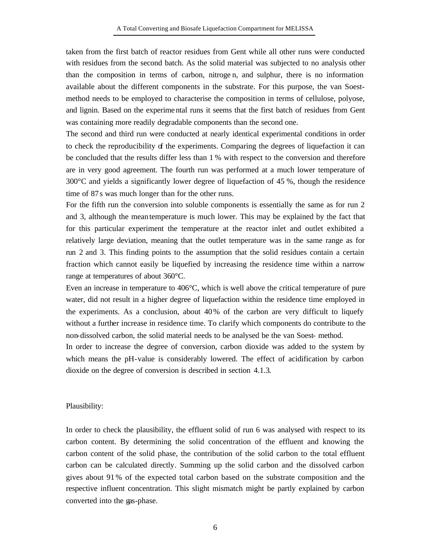taken from the first batch of reactor residues from Gent while all other runs were conducted with residues from the second batch. As the solid material was subjected to no analysis other than the composition in terms of carbon, nitroge n, and sulphur, there is no information available about the different components in the substrate. For this purpose, the van Soestmethod needs to be employed to characterise the composition in terms of cellulose, polyose, and lignin. Based on the experimental runs it seems that the first batch of residues from Gent was containing more readily degradable components than the second one.

The second and third run were conducted at nearly identical experimental conditions in order to check the reproducibility of the experiments. Comparing the degrees of liquefaction it can be concluded that the results differ less than 1 % with respect to the conversion and therefore are in very good agreement. The fourth run was performed at a much lower temperature of 300°C and yields a significantly lower degree of liquefaction of 45 %, though the residence time of 87s was much longer than for the other runs.

For the fifth run the conversion into soluble components is essentially the same as for run 2 and 3, although the mean temperature is much lower. This may be explained by the fact that for this particular experiment the temperature at the reactor inlet and outlet exhibited a relatively large deviation, meaning that the outlet temperature was in the same range as for run 2 and 3. This finding points to the assumption that the solid residues contain a certain fraction which cannot easily be liquefied by increasing the residence time within a narrow range at temperatures of about 360°C.

Even an increase in temperature to 406°C, which is well above the critical temperature of pure water, did not result in a higher degree of liquefaction within the residence time employed in the experiments. As a conclusion, about 40% of the carbon are very difficult to liquefy without a further increase in residence time. To clarify which components do contribute to the non-dissolved carbon, the solid material needs to be analysed be the van Soest- method.

In order to increase the degree of conversion, carbon dioxide was added to the system by which means the pH-value is considerably lowered. The effect of acidification by carbon dioxide on the degree of conversion is described in section 4.1.3.

#### Plausibility:

In order to check the plausibility, the effluent solid of run 6 was analysed with respect to its carbon content. By determining the solid concentration of the effluent and knowing the carbon content of the solid phase, the contribution of the solid carbon to the total effluent carbon can be calculated directly. Summing up the solid carbon and the dissolved carbon gives about 91 % of the expected total carbon based on the substrate composition and the respective influent concentration. This slight mismatch might be partly explained by carbon converted into the gas-phase.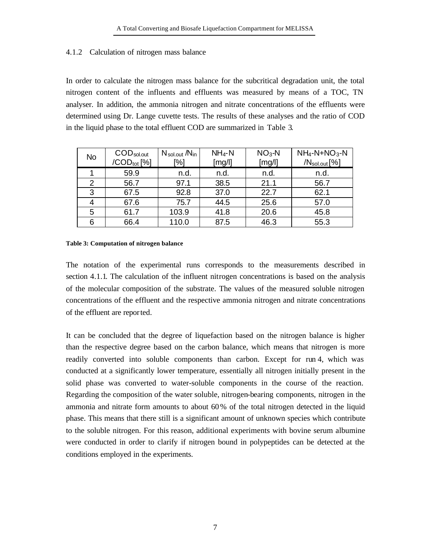# 4.1.2 Calculation of nitrogen mass balance

In order to calculate the nitrogen mass balance for the subcritical degradation unit, the total nitrogen content of the influents and effluents was measured by means of a TOC, TN analyser. In addition, the ammonia nitrogen and nitrate concentrations of the effluents were determined using Dr. Lange cuvette tests. The results of these analyses and the ratio of COD in the liquid phase to the total effluent COD are summarized in Table 3.

| <b>No</b> | $\mathsf{COD}_\mathsf{sol.out}$<br>/CODtot [%] | $N_{\text{sol.out}}/N_{\text{in}}$<br>[%] | $NH_4-N$<br>[mg/l] | $NO3 - N$<br>[mg/l] | $NH_4-N+NO_3-N$<br>/N <sub>sol.out</sub> [%] |
|-----------|------------------------------------------------|-------------------------------------------|--------------------|---------------------|----------------------------------------------|
|           | 59.9                                           | n.d.                                      | n.d.               | n.d.                | n.d.                                         |
| 2         | 56.7                                           | 97.1                                      | 38.5               | 21.1                | 56.7                                         |
| 3         | 67.5                                           | 92.8                                      | 37.0               | 22.7                | 62.1                                         |
| 4         | 67.6                                           | 75.7                                      | 44.5               | 25.6                | 57.0                                         |
| 5         | 61.7                                           | 103.9                                     | 41.8               | 20.6                | 45.8                                         |
| 6         | 66.4                                           | 110.0                                     | 87.5               | 46.3                | 55.3                                         |

#### **Table 3: Computation of nitrogen balance**

The notation of the experimental runs corresponds to the measurements described in section 4.1.1. The calculation of the influent nitrogen concentrations is based on the analysis of the molecular composition of the substrate. The values of the measured soluble nitrogen concentrations of the effluent and the respective ammonia nitrogen and nitrate concentrations of the effluent are reported.

It can be concluded that the degree of liquefaction based on the nitrogen balance is higher than the respective degree based on the carbon balance, which means that nitrogen is more readily converted into soluble components than carbon. Except for run 4, which was conducted at a significantly lower temperature, essentially all nitrogen initially present in the solid phase was converted to water-soluble components in the course of the reaction. Regarding the composition of the water soluble, nitrogen-bearing components, nitrogen in the ammonia and nitrate form amounts to about 60% of the total nitrogen detected in the liquid phase. This means that there still is a significant amount of unknown species which contribute to the soluble nitrogen. For this reason, additional experiments with bovine serum albumine were conducted in order to clarify if nitrogen bound in polypeptides can be detected at the conditions employed in the experiments.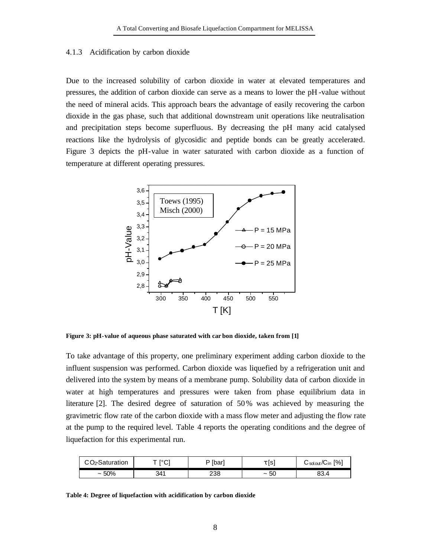#### 4.1.3 Acidification by carbon dioxide

Due to the increased solubility of carbon dioxide in water at elevated temperatures and pressures, the addition of carbon dioxide can serve as a means to lower the pH -value without the need of mineral acids. This approach bears the advantage of easily recovering the carbon dioxide in the gas phase, such that additional downstream unit operations like neutralisation and precipitation steps become superfluous. By decreasing the pH many acid catalysed reactions like the hydrolysis of glycosidic and peptide bonds can be greatly accelerated. Figure 3 depicts the pH-value in water saturated with carbon dioxide as a function of temperature at different operating pressures.



**Figure 3: pH-value of aqueous phase saturated with car bon dioxide, taken from [1]**

To take advantage of this property, one preliminary experiment adding carbon dioxide to the influent suspension was performed. Carbon dioxide was liquefied by a refrigeration unit and delivered into the system by means of a membrane pump. Solubility data of carbon dioxide in water at high temperatures and pressures were taken from phase equilibrium data in literature [2]. The desired degree of saturation of 50% was achieved by measuring the gravimetric flow rate of the carbon dioxide with a mass flow meter and adjusting the flow rate at the pump to the required level. Table 4 reports the operating conditions and the degree of liquefaction for this experimental run.

|  | CO <sub>2</sub> -Saturation | $\sim$            | ן [barı | Is                                 | $\lceil\% \rceil$<br>し <sub>sol.out</sub> /しin |
|--|-----------------------------|-------------------|---------|------------------------------------|------------------------------------------------|
|  | $~1.50\%$                   | 311<br><u>v</u> . | 238     | r r<br>ວບ<br>$\tilde{\phantom{a}}$ | ົ<br>00.4                                      |

**Table 4: Degree of liquefaction with acidification by carbon dioxide**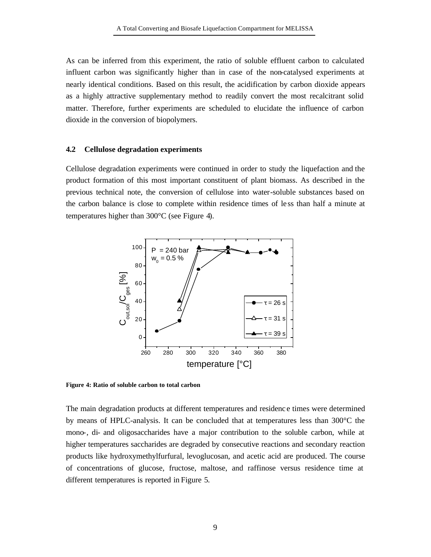As can be inferred from this experiment, the ratio of soluble effluent carbon to calculated influent carbon was significantly higher than in case of the non-catalysed experiments at nearly identical conditions. Based on this result, the acidification by carbon dioxide appears as a highly attractive supplementary method to readily convert the most recalcitrant solid matter. Therefore, further experiments are scheduled to elucidate the influence of carbon dioxide in the conversion of biopolymers.

#### **4.2 Cellulose degradation experiments**

Cellulose degradation experiments were continued in order to study the liquefaction and the product formation of this most important constituent of plant biomass. As described in the previous technical note, the conversion of cellulose into water-soluble substances based on the carbon balance is close to complete within residence times of le ss than half a minute at temperatures higher than 300°C (see Figure 4).



**Figure 4: Ratio of soluble carbon to total carbon** 

The main degradation products at different temperatures and residenc e times were determined by means of HPLC-analysis. It can be concluded that at temperatures less than 300°C the mono-, di- and oligosaccharides have a major contribution to the soluble carbon, while at higher temperatures saccharides are degraded by consecutive reactions and secondary reaction products like hydroxymethylfurfural, levoglucosan, and acetic acid are produced. The course of concentrations of glucose, fructose, maltose, and raffinose versus residence time at different temperatures is reported in Figure 5.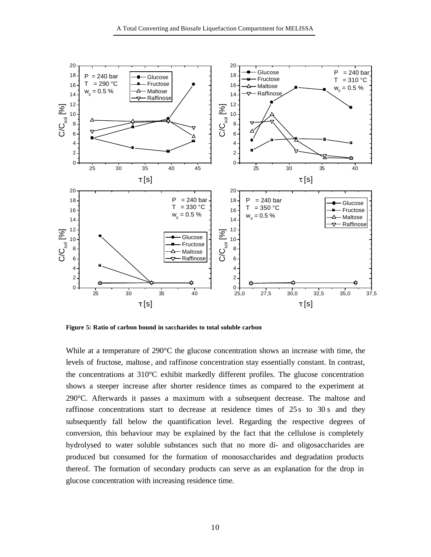

**Figure 5: Ratio of carbon bound in saccharides to total soluble carbon**

While at a temperature of 290 $\degree$ C the glucose concentration shows an increase with time, the levels of fructose, maltose , and raffinose concentration stay essentially constant. In contrast, the concentrations at 310°C exhibit markedly different profiles. The glucose concentration shows a steeper increase after shorter residence times as compared to the experiment at 290°C. Afterwards it passes a maximum with a subsequent decrease. The maltose and raffinose concentrations start to decrease at residence times of 25s to 30s and they subsequently fall below the quantification level. Regarding the respective degrees of conversion, this behaviour may be explained by the fact that the cellulose is completely hydrolysed to water soluble substances such that no more di- and oligosaccharides are produced but consumed for the formation of monosaccharides and degradation products thereof. The formation of secondary products can serve as an explanation for the drop in glucose concentration with increasing residence time.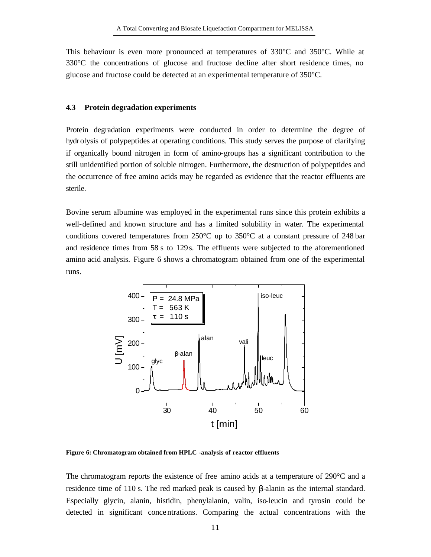This behaviour is even more pronounced at temperatures of  $330^{\circ}$ C and  $350^{\circ}$ C. While at 330°C the concentrations of glucose and fructose decline after short residence times, no glucose and fructose could be detected at an experimental temperature of 350°C.

#### **4.3 Protein degradation experiments**

Protein degradation experiments were conducted in order to determine the degree of hydr olysis of polypeptides at operating conditions. This study serves the purpose of clarifying if organically bound nitrogen in form of amino-groups has a significant contribution to the still unidentified portion of soluble nitrogen. Furthermore, the destruction of polypeptides and the occurrence of free amino acids may be regarded as evidence that the reactor effluents are sterile.

Bovine serum albumine was employed in the experimental runs since this protein exhibits a well-defined and known structure and has a limited solubility in water. The experimental conditions covered temperatures from  $250^{\circ}$ C up to  $350^{\circ}$ C at a constant pressure of 248 bar and residence times from 58 s to 129s. The effluents were subjected to the aforementioned amino acid analysis. Figure 6 shows a chromatogram obtained from one of the experimental runs.



**Figure 6: Chromatogram obtained from HPLC -analysis of reactor effluents**

The chromatogram reports the existence of free amino acids at a temperature of 290°C and a residence time of 110 s. The red marked peak is caused by β-alanin as the internal standard. Especially glycin, alanin, histidin, phenylalanin, valin, iso-leucin and tyrosin could be detected in significant conce ntrations. Comparing the actual concentrations with the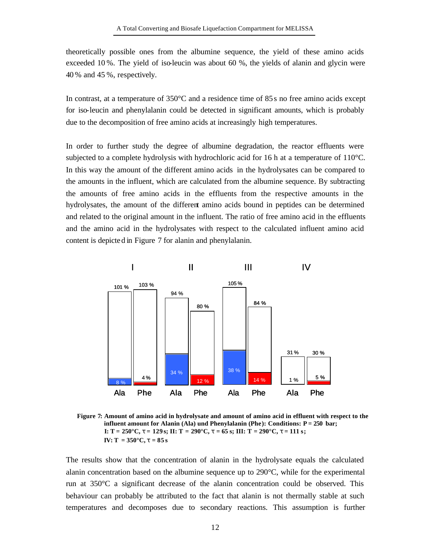theoretically possible ones from the albumine sequence, the yield of these amino acids exceeded 10 %. The yield of iso-leucin was about 60 %, the yields of alanin and glycin were 40 % and 45 %, respectively.

In contrast, at a temperature of  $350^{\circ}$ C and a residence time of  $85 s$  no free amino acids except for iso-leucin and phenylalanin could be detected in significant amounts, which is probably due to the decomposition of free amino acids at increasingly high temperatures.

In order to further study the degree of albumine degradation, the reactor effluents were subjected to a complete hydrolysis with hydrochloric acid for 16 h at a temperature of 110°C. In this way the amount of the different amino acids in the hydrolysates can be compared to the amounts in the influent, which are calculated from the albumine sequence. By subtracting the amounts of free amino acids in the effluents from the respective amounts in the hydrolysates, the amount of the different amino acids bound in peptides can be determined and related to the original amount in the influent. The ratio of free amino acid in the effluents and the amino acid in the hydrolysates with respect to the calculated influent amino acid content is depicted in Figure 7 for alanin and phenylalanin.



**Figure 7: Amount of amino acid in hydrolysate and amount of amino acid in effluent with respect to the influent amount for Alanin (Ala) und Phenylalanin (Phe): Conditions: P = 250 bar; I: T = 250°C, t = 129 s; II: T = 290°C, t = 65 s; III: T = 290°C, t = 111 s;**  $IV: T = 350^{\circ}C, t = 85s$ 

The results show that the concentration of alanin in the hydrolysate equals the calculated alanin concentration based on the albumine sequence up to 290°C, while for the experimental run at 350°C a significant decrease of the alanin concentration could be observed. This behaviour can probably be attributed to the fact that alanin is not thermally stable at such temperatures and decomposes due to secondary reactions. This assumption is further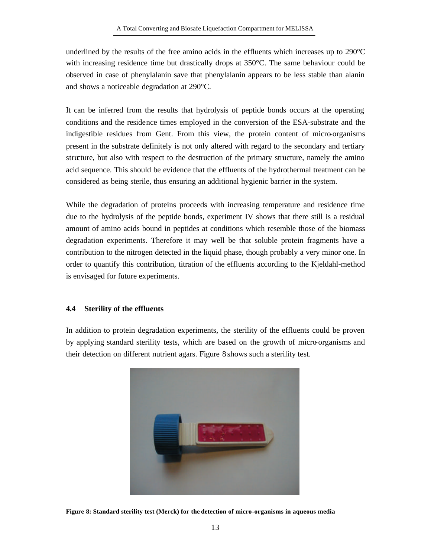underlined by the results of the free amino acids in the effluents which increases up to  $290^{\circ}$ C with increasing residence time but drastically drops at 350°C. The same behaviour could be observed in case of phenylalanin save that phenylalanin appears to be less stable than alanin and shows a noticeable degradation at 290°C.

It can be inferred from the results that hydrolysis of peptide bonds occurs at the operating conditions and the residence times employed in the conversion of the ESA-substrate and the indigestible residues from Gent. From this view, the protein content of micro-organisms present in the substrate definitely is not only altered with regard to the secondary and tertiary structure, but also with respect to the destruction of the primary structure, namely the amino acid sequence. This should be evidence that the effluents of the hydrothermal treatment can be considered as being sterile, thus ensuring an additional hygienic barrier in the system.

While the degradation of proteins proceeds with increasing temperature and residence time due to the hydrolysis of the peptide bonds, experiment IV shows that there still is a residual amount of amino acids bound in peptides at conditions which resemble those of the biomass degradation experiments. Therefore it may well be that soluble protein fragments have a contribution to the nitrogen detected in the liquid phase, though probably a very minor one. In order to quantify this contribution, titration of the effluents according to the Kjeldahl-method is envisaged for future experiments.

# **4.4 Sterility of the effluents**

In addition to protein degradation experiments, the sterility of the effluents could be proven by applying standard sterility tests, which are based on the growth of micro-organisms and their detection on different nutrient agars. Figure 8 shows such a sterility test.



**Figure 8: Standard sterility test (Merck) for the detection of micro-organisms in aqueous media**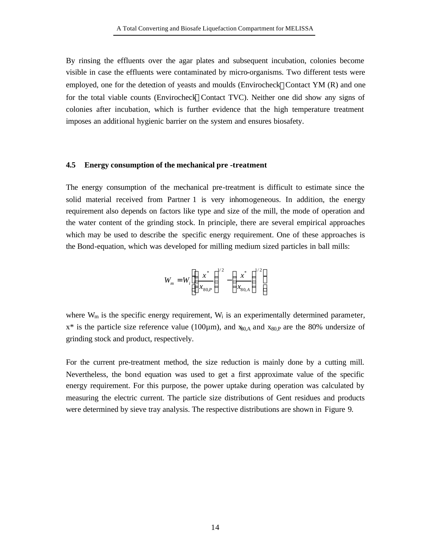By rinsing the effluents over the agar plates and subsequent incubation, colonies become visible in case the effluents were contaminated by micro-organisms. Two different tests were employed, one for the detection of yeasts and moulds (Envirocheck®Contact YM  $(R)$  and one for the total viable counts (Envirocheck®Contact TVC). Neither one did show any signs of colonies after incubation, which is further evidence that the high temperature treatment imposes an additional hygienic barrier on the system and ensures biosafety.

#### **4.5 Energy consumption of the mechanical pre -treatment**

The energy consumption of the mechanical pre-treatment is difficult to estimate since the solid material received from Partner 1 is very inhomogeneous. In addition, the energy requirement also depends on factors like type and size of the mill, the mode of operation and the water content of the grinding stock. In principle, there are several empirical approaches which may be used to describe the specific energy requirement. One of these approaches is the Bond-equation, which was developed for milling medium sized particles in ball mills:

$$
W_m = W_i \left[ \left( \frac{x^*}{x_{80,P}} \right)^{1/2} - \left( \frac{x^*}{x_{80,A}} \right)^{1/2} \right]
$$

where  $W_m$  is the specific energy requirement,  $W_i$  is an experimentally determined parameter,  $x^*$  is the particle size reference value (100 $\mu$ m), and  $x_{80,A}$  and  $x_{80,P}$  are the 80% undersize of grinding stock and product, respectively.

For the current pre-treatment method, the size reduction is mainly done by a cutting mill. Nevertheless, the bond equation was used to get a first approximate value of the specific energy requirement. For this purpose, the power uptake during operation was calculated by measuring the electric current. The particle size distributions of Gent residues and products were determined by sieve tray analysis. The respective distributions are shown in Figure 9.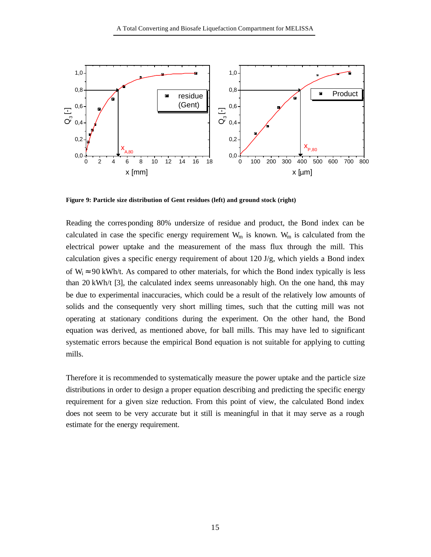

**Figure 9: Particle size distribution of Gent residues (left) and ground stock (right)**

Reading the corresponding 80% undersize of residue and product, the Bond index can be calculated in case the specific energy requirement  $W_m$  is known.  $W_m$  is calculated from the electrical power uptake and the measurement of the mass flux through the mill. This calculation gives a specific energy requirement of about 120 J/g, which yields a Bond index of  $W_i \approx 90$  kWh/t. As compared to other materials, for which the Bond index typically is less than 20 kWh/t [3], the calculated index seems unreasonably high. On the one hand, this may be due to experimental inaccuracies, which could be a result of the relatively low amounts of solids and the consequently very short milling times, such that the cutting mill was not operating at stationary conditions during the experiment. On the other hand, the Bond equation was derived, as mentioned above, for ball mills. This may have led to significant systematic errors because the empirical Bond equation is not suitable for applying to cutting mills.

Therefore it is recommended to systematically measure the power uptake and the particle size distributions in order to design a proper equation describing and predicting the specific energy requirement for a given size reduction. From this point of view, the calculated Bond index does not seem to be very accurate but it still is meaningful in that it may serve as a rough estimate for the energy requirement.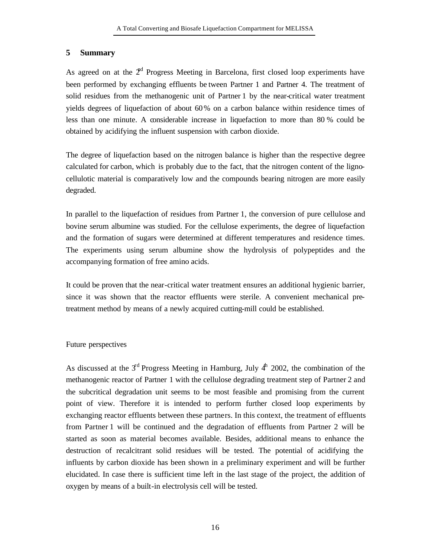# **5 Summary**

As agreed on at the  $2<sup>nd</sup>$  Progress Meeting in Barcelona, first closed loop experiments have been performed by exchanging effluents be tween Partner 1 and Partner 4. The treatment of solid residues from the methanogenic unit of Partner 1 by the near-critical water treatment yields degrees of liquefaction of about 60% on a carbon balance within residence times of less than one minute. A considerable increase in liquefaction to more than 80 % could be obtained by acidifying the influent suspension with carbon dioxide.

The degree of liquefaction based on the nitrogen balance is higher than the respective degree calculated for carbon, which is probably due to the fact, that the nitrogen content of the lignocellulotic material is comparatively low and the compounds bearing nitrogen are more easily degraded.

In parallel to the liquefaction of residues from Partner 1, the conversion of pure cellulose and bovine serum albumine was studied. For the cellulose experiments, the degree of liquefaction and the formation of sugars were determined at different temperatures and residence times. The experiments using serum albumine show the hydrolysis of polypeptides and the accompanying formation of free amino acids.

It could be proven that the near-critical water treatment ensures an additional hygienic barrier, since it was shown that the reactor effluents were sterile. A convenient mechanical pretreatment method by means of a newly acquired cutting-mill could be established.

# Future perspectives

As discussed at the  $3<sup>rd</sup>$  Progress Meeting in Hamburg, July  $4<sup>th</sup>$  2002, the combination of the methanogenic reactor of Partner 1 with the cellulose degrading treatment step of Partner 2 and the subcritical degradation unit seems to be most feasible and promising from the current point of view. Therefore it is intended to perform further closed loop experiments by exchanging reactor effluents between these partners. In this context, the treatment of effluents from Partner 1 will be continued and the degradation of effluents from Partner 2 will be started as soon as material becomes available. Besides, additional means to enhance the destruction of recalcitrant solid residues will be tested. The potential of acidifying the influents by carbon dioxide has been shown in a preliminary experiment and will be further elucidated. In case there is sufficient time left in the last stage of the project, the addition of oxygen by means of a built-in electrolysis cell will be tested.